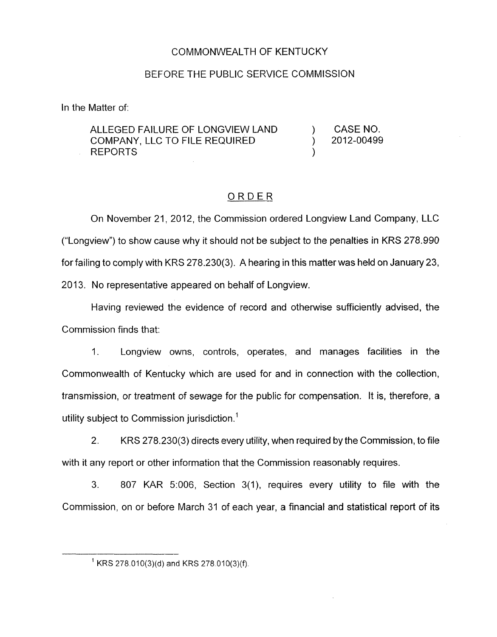## COMMONWEALTH OF KENTUCKY

## BEFORE THE PUBLIC SERVICE COMMISSION

In the Matter of:

ALLEGED FAILURE OF LONGVIEW LAND (ALLEGED FAILURE OF LONGVIEW LAND COMPANY, LLC TO FILE REQUIRED ) 2012-00499 REPORTS (and the state of the state of the state of the state of the state of the state of the state of the state of the state of the state of the state of the state of the state of the state of the state of the state of t

## ORDER

On November 21 , 2012, the Commission ordered Longview Land Company, LLC ("Longview") to show cause why it should not be subject to the penalties in KRS *278.990*  for failing to comply with KRS 278.230(3). A hearing in this matter was held on January 23, 2013. No representative appeared on behalf of Longview.

Having reviewed the evidence of record and otherwise sufficiently advised, the Commission finds that:

1. Longview owns, controls, operates, and manages facilities in the Commonwealth of Kentucky which are used for and in connection with the collection, transmission, or treatment of sewage for the public for compensation. It is, therefore, a utility subject to Commission jurisdiction.<sup>1</sup>

2. KRS 278.230(3) directs every utility, when required by the Commission, to file with it any report or other information that the Commission reasonably requires.

3. 807 KAR 5:006, Section 3(1), requires every utility to file with the Commission, on or before March 31 of each year, a financial and statistical report of its

 $^1$  KRS 278.010(3)(d) and KRS 278.010(3)(f).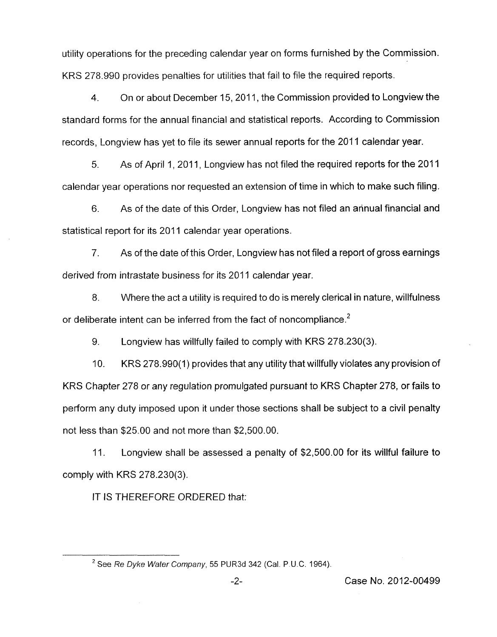utility operations for the preceding calendar year on forms furnished by the Commission. KRS 278.990 provides penalties for utilities that fail to file the required reports.

4. On or about December 15, 2011, the Commission provided to Longview the standard forms for the annual financial and statistical reports. According to Commission records, Longview has yet to file its sewer annual reports for the 2011 calendar year.

5. As of April 1, 2011, Longview has not filed the required reports for the 2011 calendar year operations nor requested an extension of time in which to make such filing.

6. As of the date of this Order, Longview has not filed an annual financial and statistical report for its 2011 calendar year operations.

7. As of the date of this Order, Longview has not filed a report of gross earnings derived from intrastate business for its 2011 calendar year.

8. Where the act a utility is required to do is merely clerical in nature, willfulness or deliberate intent can be inferred from the fact of noncompliance. $<sup>2</sup>$ </sup>

9. Longview has willfully failed to comply with KRS 278.230(3).

IO. KRS 278.990(1) provides that any utility that willfully violates any provision of KRS Chapter 278 or any regulation promulgated pursuant to KRS Chapter 278, or fails to perform any duty imposed upon it under those sections shall be subject to a civil penalty not less than \$25.00 and not more than \$2,500.00.

11 **I** Longview shall be assessed a penalty of \$2,500.00 for its willful failure to comply with KRS 278.230(3).

IT IS THEREFORE ORDERED that:

<sup>&</sup>lt;sup>2</sup> See Re Dvke Water Company, 55 PUR3d 342 (Cal. P.U.C. 1964).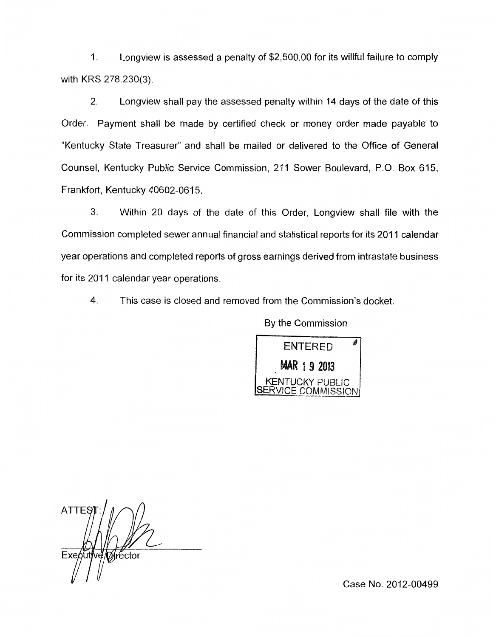1. Longview is assessed a penalty of \$2,500.00 for its willful failure to comply with KRS 278.230(3).

2. Longview shall pay the assessed penalty within 14 days of the date of this Order. Payment shall be made by certified check or money order made payable to "Kentucky State Treasurer" and shall be mailed or delivered to the Office of General Counsel, Kentucky Public Service Commission, 211 Sower Boulevard, P.O. Box 615, Frankfort, Kentucky 40602-0615.

**3.** Within 20 days of the date of this Order, Longview shall file with the Commission completed sewer annual financial and statistical reports for its 2011 calendar year operations and completed reports of gross earnings derived from intrastate business for its 2011 calendar year operations.

**4.** This case is closed and removed from the Commission's docket.

By the Commission

ENTERED **2013<br>2018 RENTUCKY PUBLIC<br>2018 REPUGE COMMISSION** SERVICE COMMISSION

ATTE Director Execu *<sup>v</sup>***IV** 

Case No. 2012-00499